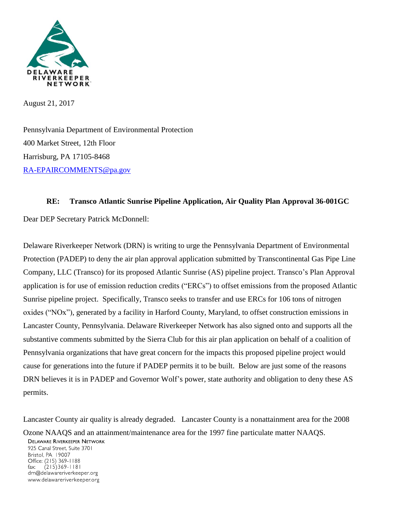

August 21, 2017

Pennsylvania Department of Environmental Protection 400 Market Street, 12th Floor Harrisburg, PA 17105-8468 [RA-EPAIRCOMMENTS@pa.gov](mailto:RA-EPAIRCOMMENTS@pa.gov)

## **RE: Transco Atlantic Sunrise Pipeline Application, Air Quality Plan Approval 36-001GC**

Dear DEP Secretary Patrick McDonnell:

Delaware Riverkeeper Network (DRN) is writing to urge the Pennsylvania Department of Environmental Protection (PADEP) to deny the air plan approval application submitted by Transcontinental Gas Pipe Line Company, LLC (Transco) for its proposed Atlantic Sunrise (AS) pipeline project. Transco's Plan Approval application is for use of emission reduction credits ("ERCs") to offset emissions from the proposed Atlantic Sunrise pipeline project. Specifically, Transco seeks to transfer and use ERCs for 106 tons of nitrogen oxides ("NOx"), generated by a facility in Harford County, Maryland, to offset construction emissions in Lancaster County, Pennsylvania. Delaware Riverkeeper Network has also signed onto and supports all the substantive comments submitted by the Sierra Club for this air plan application on behalf of a coalition of Pennsylvania organizations that have great concern for the impacts this proposed pipeline project would cause for generations into the future if PADEP permits it to be built. Below are just some of the reasons DRN believes it is in PADEP and Governor Wolf's power, state authority and obligation to deny these AS permits.

Lancaster County air quality is already degraded. Lancaster County is a nonattainment area for the 2008 Ozone NAAQS and an attainment/maintenance area for the 1997 fine particulate matter NAAQS.

**DELAWARE RIVERKEEPER NETWORK** 925 Canal Street, Suite 3701 Bristol, PA 19007

Office: (215) 369-1188  $(215)369 - 1181$ fax: drn@delawareriverkeeper.org www.delawareriverkeeper.org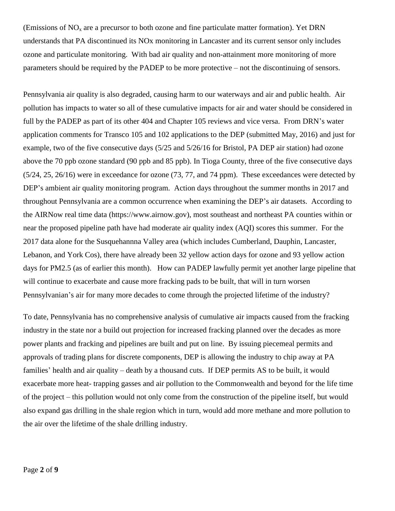(Emissions of  $NO<sub>x</sub>$  are a precursor to both ozone and fine particulate matter formation). Yet DRN understands that PA discontinued its NOx monitoring in Lancaster and its current sensor only includes ozone and particulate monitoring. With bad air quality and non-attainment more monitoring of more parameters should be required by the PADEP to be more protective – not the discontinuing of sensors.

Pennsylvania air quality is also degraded, causing harm to our waterways and air and public health. Air pollution has impacts to water so all of these cumulative impacts for air and water should be considered in full by the PADEP as part of its other 404 and Chapter 105 reviews and vice versa. From DRN's water application comments for Transco 105 and 102 applications to the DEP (submitted May, 2016) and just for example, two of the five consecutive days (5/25 and 5/26/16 for Bristol, PA DEP air station) had ozone above the 70 ppb ozone standard (90 ppb and 85 ppb). In Tioga County, three of the five consecutive days (5/24, 25, 26/16) were in exceedance for ozone (73, 77, and 74 ppm). These exceedances were detected by DEP's ambient air quality monitoring program. Action days throughout the summer months in 2017 and throughout Pennsylvania are a common occurrence when examining the DEP's air datasets. According to the AIRNow real time data (https://www.airnow.gov), most southeast and northeast PA counties within or near the proposed pipeline path have had moderate air quality index (AQI) scores this summer. For the 2017 data alone for the Susquehannna Valley area (which includes Cumberland, Dauphin, Lancaster, Lebanon, and York Cos), there have already been 32 yellow action days for ozone and 93 yellow action days for PM2.5 (as of earlier this month). How can PADEP lawfully permit yet another large pipeline that will continue to exacerbate and cause more fracking pads to be built, that will in turn worsen Pennsylvanian's air for many more decades to come through the projected lifetime of the industry?

To date, Pennsylvania has no comprehensive analysis of cumulative air impacts caused from the fracking industry in the state nor a build out projection for increased fracking planned over the decades as more power plants and fracking and pipelines are built and put on line. By issuing piecemeal permits and approvals of trading plans for discrete components, DEP is allowing the industry to chip away at PA families' health and air quality – death by a thousand cuts. If DEP permits AS to be built, it would exacerbate more heat- trapping gasses and air pollution to the Commonwealth and beyond for the life time of the project – this pollution would not only come from the construction of the pipeline itself, but would also expand gas drilling in the shale region which in turn, would add more methane and more pollution to the air over the lifetime of the shale drilling industry.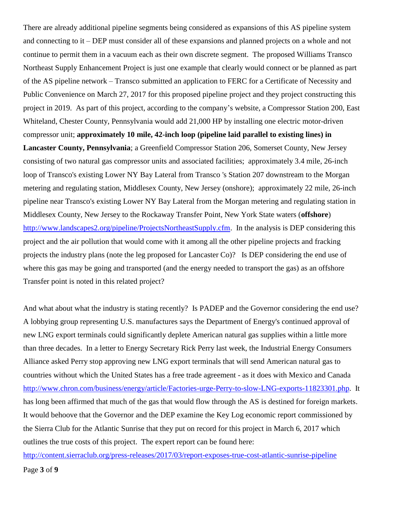There are already additional pipeline segments being considered as expansions of this AS pipeline system and connecting to it – DEP must consider all of these expansions and planned projects on a whole and not continue to permit them in a vacuum each as their own discrete segment. The proposed Williams Transco Northeast Supply Enhancement Project is just one example that clearly would connect or be planned as part of the AS pipeline network – Transco submitted an application to FERC for a Certificate of Necessity and Public Convenience on March 27, 2017 for this proposed pipeline project and they project constructing this project in 2019. As part of this project, according to the company's website, a Compressor Station 200, East Whiteland, Chester County, Pennsylvania would add 21,000 HP by installing one electric motor-driven compressor unit; **approximately 10 mile, 42-inch loop (pipeline laid parallel to existing lines) in Lancaster County, Pennsylvania**; a Greenfield Compressor Station 206, Somerset County, New Jersey consisting of two natural gas compressor units and associated facilities; approximately 3.4 mile, 26-inch loop of Transco's existing Lower NY Bay Lateral from Transco 's Station 207 downstream to the Morgan metering and regulating station, Middlesex County, New Jersey (onshore); approximately 22 mile, 26-inch pipeline near Transco's existing Lower NY Bay Lateral from the Morgan metering and regulating station in Middlesex County, New Jersey to the Rockaway Transfer Point, New York State waters (**offshore**) [http://www.landscapes2.org/pipeline/ProjectsNortheastSupply.cfm.](http://www.landscapes2.org/pipeline/ProjectsNortheastSupply.cfm) In the analysis is DEP considering this project and the air pollution that would come with it among all the other pipeline projects and fracking projects the industry plans (note the leg proposed for Lancaster Co)? Is DEP considering the end use of where this gas may be going and transported (and the energy needed to transport the gas) as an offshore Transfer point is noted in this related project?

And what about what the industry is stating recently? Is PADEP and the Governor considering the end use? A lobbying group representing U.S. manufactures says the Department of Energy's continued approval of new LNG export terminals could significantly deplete American natural gas supplies within a little more than three decades. In a letter to Energy Secretary Rick Perry last week, the Industrial Energy Consumers Alliance asked Perry stop approving new LNG export terminals that will send American natural gas to countries without which the United States has a free trade agreement - as it does with Mexico and Canada [http://www.chron.com/business/energy/article/Factories-urge-Perry-to-slow-LNG-exports-11823301.php.](http://www.chron.com/business/energy/article/Factories-urge-Perry-to-slow-LNG-exports-11823301.php) It has long been affirmed that much of the gas that would flow through the AS is destined for foreign markets. It would behoove that the Governor and the DEP examine the Key Log economic report commissioned by the Sierra Club for the Atlantic Sunrise that they put on record for this project in March 6, 2017 which outlines the true costs of this project. The expert report can be found here:

<http://content.sierraclub.org/press-releases/2017/03/report-exposes-true-cost-atlantic-sunrise-pipeline>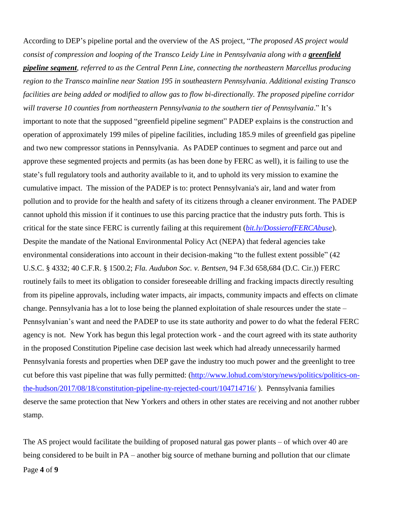According to DEP's pipeline portal and the overview of the AS project, "*The proposed AS project would consist of compression and looping of the Transco Leidy Line in Pennsylvania along with a greenfield pipeline segment, referred to as the Central Penn Line, connecting the northeastern Marcellus producing region to the Transco mainline near Station 195 in southeastern Pennsylvania. Additional existing Transco facilities are being added or modified to allow gas to flow bi-directionally. The proposed pipeline corridor will traverse 10 counties from northeastern Pennsylvania to the southern tier of Pennsylvania*." It's important to note that the supposed "greenfield pipeline segment" PADEP explains is the construction and operation of approximately 199 miles of pipeline facilities, including 185.9 miles of greenfield gas pipeline and two new compressor stations in Pennsylvania. As PADEP continues to segment and parce out and approve these segmented projects and permits (as has been done by FERC as well), it is failing to use the state's full regulatory tools and authority available to it, and to uphold its very mission to examine the cumulative impact. The mission of the PADEP is to: protect Pennsylvania's air, land and water from pollution and to provide for the health and safety of its citizens through a cleaner environment. The PADEP cannot uphold this mission if it continues to use this parcing practice that the industry puts forth. This is critical for the state since FERC is currently failing at this requirement (*[bit.ly/DossierofFERCAbuse](http://bit.ly/DossierofFERCAbuse)*). Despite the mandate of the National Environmental Policy Act (NEPA) that federal agencies take environmental considerations into account in their decision-making "to the fullest extent possible" (42 U.S.C. § 4332; 40 C.F.R. § 1500.2; *Fla. Audubon Soc. v. Bentsen*, 94 F.3d 658,684 (D.C. Cir.)) FERC routinely fails to meet its obligation to consider foreseeable drilling and fracking impacts directly resulting from its pipeline approvals, including water impacts, air impacts, community impacts and effects on climate change. Pennsylvania has a lot to lose being the planned exploitation of shale resources under the state – Pennsylvanian's want and need the PADEP to use its state authority and power to do what the federal FERC agency is not. New York has begun this legal protection work - and the court agreed with its state authority in the proposed Constitution Pipeline case decision last week which had already unnecessarily harmed Pennsylvania forests and properties when DEP gave the industry too much power and the greenlight to tree cut before this vast pipeline that was fully permitted: [\(http://www.lohud.com/story/news/politics/politics-on](http://www.lohud.com/story/news/politics/politics-on-the-hudson/2017/08/18/constitution-pipeline-ny-rejected-court/104714716/)[the-hudson/2017/08/18/constitution-pipeline-ny-rejected-court/104714716/](http://www.lohud.com/story/news/politics/politics-on-the-hudson/2017/08/18/constitution-pipeline-ny-rejected-court/104714716/) ). Pennsylvania families deserve the same protection that New Yorkers and others in other states are receiving and not another rubber stamp.

Page **4** of **9** The AS project would facilitate the building of proposed natural gas power plants – of which over 40 are being considered to be built in PA – another big source of methane burning and pollution that our climate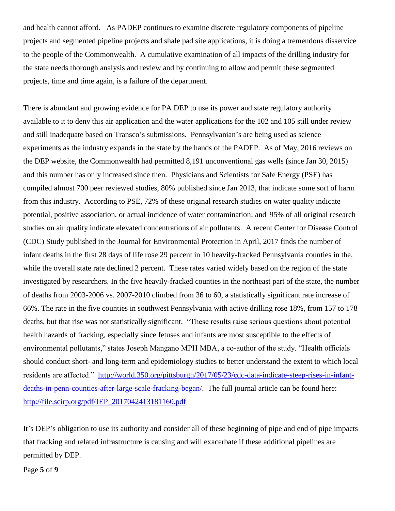and health cannot afford. As PADEP continues to examine discrete regulatory components of pipeline projects and segmented pipeline projects and shale pad site applications, it is doing a tremendous disservice to the people of the Commonwealth. A cumulative examination of all impacts of the drilling industry for the state needs thorough analysis and review and by continuing to allow and permit these segmented projects, time and time again, is a failure of the department.

There is abundant and growing evidence for PA DEP to use its power and state regulatory authority available to it to deny this air application and the water applications for the 102 and 105 still under review and still inadequate based on Transco's submissions. Pennsylvanian's are being used as science experiments as the industry expands in the state by the hands of the PADEP. As of May, 2016 reviews on the DEP website, the Commonwealth had permitted 8,191 unconventional gas wells (since Jan 30, 2015) and this number has only increased since then. Physicians and Scientists for Safe Energy (PSE) has compiled almost 700 peer reviewed studies, 80% published since Jan 2013, that indicate some sort of harm from this industry. According to PSE, 72% of these original research studies on water quality indicate potential, positive association, or actual incidence of water contamination; and 95% of all original research studies on air quality indicate elevated concentrations of air pollutants. A recent Center for Disease Control (CDC) Study published in the Journal for Environmental Protection in April, 2017 finds the number of infant deaths in the first 28 days of life rose 29 percent in 10 heavily-fracked Pennsylvania counties in the, while the overall state rate declined 2 percent. These rates varied widely based on the region of the state investigated by researchers. In the five heavily-fracked counties in the northeast part of the state, the number of deaths from 2003-2006 vs. 2007-2010 climbed from 36 to 60, a statistically significant rate increase of 66%. The rate in the five counties in southwest Pennsylvania with active drilling rose 18%, from 157 to 178 deaths, but that rise was not statistically significant. "These results raise serious questions about potential health hazards of fracking, especially since fetuses and infants are most susceptible to the effects of environmental pollutants," states Joseph Mangano MPH MBA, a co-author of the study. "Health officials should conduct short- and long-term and epidemiology studies to better understand the extent to which local residents are affected." [http://world.350.org/pittsburgh/2017/05/23/cdc-data-indicate-steep-rises-in-infant](http://world.350.org/pittsburgh/2017/05/23/cdc-data-indicate-steep-rises-in-infant-deaths-in-penn-counties-after-large-scale-fracking-began/)[deaths-in-penn-counties-after-large-scale-fracking-began/.](http://world.350.org/pittsburgh/2017/05/23/cdc-data-indicate-steep-rises-in-infant-deaths-in-penn-counties-after-large-scale-fracking-began/) The full journal article can be found here: [http://file.scirp.org/pdf/JEP\\_2017042413181160.pdf](http://file.scirp.org/pdf/JEP_2017042413181160.pdf)

It's DEP's obligation to use its authority and consider all of these beginning of pipe and end of pipe impacts that fracking and related infrastructure is causing and will exacerbate if these additional pipelines are permitted by DEP.

Page **5** of **9**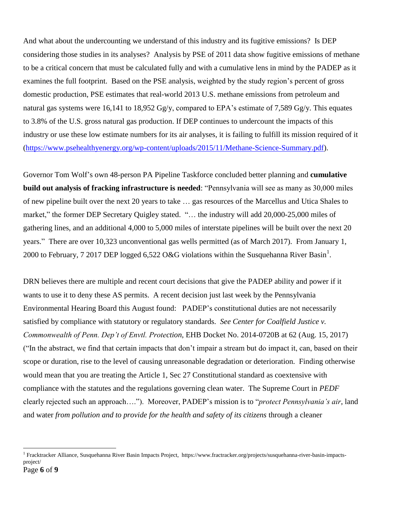And what about the undercounting we understand of this industry and its fugitive emissions? Is DEP considering those studies in its analyses? Analysis by PSE of 2011 data show fugitive emissions of methane to be a critical concern that must be calculated fully and with a cumulative lens in mind by the PADEP as it examines the full footprint. Based on the PSE analysis, weighted by the study region's percent of gross domestic production, PSE estimates that real-world 2013 U.S. methane emissions from petroleum and natural gas systems were 16,141 to 18,952 Gg/y, compared to EPA's estimate of 7,589 Gg/y. This equates to 3.8% of the U.S. gross natural gas production. If DEP continues to undercount the impacts of this industry or use these low estimate numbers for its air analyses, it is failing to fulfill its mission required of it [\(https://www.psehealthyenergy.org/wp-content/uploads/2015/11/Methane-Science-Summary.pdf\)](https://www.psehealthyenergy.org/wp-content/uploads/2015/11/Methane-Science-Summary.pdf).

Governor Tom Wolf's own 48-person PA Pipeline Taskforce concluded better planning and **cumulative build out analysis of fracking infrastructure is needed**: "Pennsylvania will see as many as 30,000 miles of new pipeline built over the next 20 years to take … gas resources of the Marcellus and Utica Shales to market," the former DEP Secretary Quigley stated. "... the industry will add 20,000-25,000 miles of gathering lines, and an additional 4,000 to 5,000 miles of interstate pipelines will be built over the next 20 years." There are over 10,323 unconventional gas wells permitted (as of March 2017). From January 1, 2000 to February, 7 2017 DEP logged 6,522 O&G violations within the Susquehanna River Basin<sup>1</sup>.

DRN believes there are multiple and recent court decisions that give the PADEP ability and power if it wants to use it to deny these AS permits. A recent decision just last week by the Pennsylvania Environmental Hearing Board this August found: PADEP's constitutional duties are not necessarily satisfied by compliance with statutory or regulatory standards. *See Center for Coalfield Justice v. Commonwealth of Penn. Dep't of Envtl. Protection*, EHB Docket No. 2014-0720B at 62 (Aug. 15, 2017) ("In the abstract, we find that certain impacts that don't impair a stream but do impact it, can, based on their scope or duration, rise to the level of causing unreasonable degradation or deterioration. Finding otherwise would mean that you are treating the Article 1, Sec 27 Constitutional standard as coextensive with compliance with the statutes and the regulations governing clean water. The Supreme Court in *PEDF* clearly rejected such an approach…."). Moreover, PADEP's mission is to "*protect Pennsylvania's air*, land and water *from pollution and to provide for the health and safety of its citizens* through a cleaner

 $\overline{a}$ 

<sup>&</sup>lt;sup>1</sup> Fracktracker Alliance, Susquehanna River Basin Impacts Project, https://www.fractracker.org/projects/susquehanna-river-basin-impactsproject/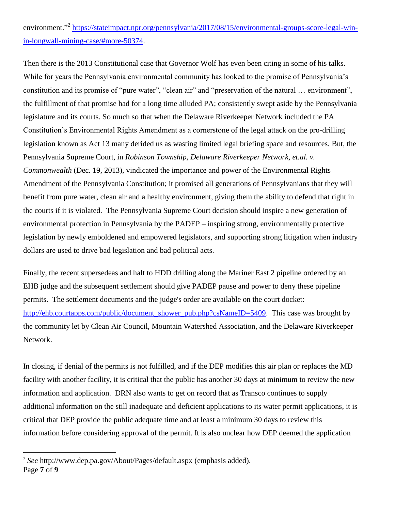## environment."<sup>2</sup> [https://stateimpact.npr.org/pennsylvania/2017/08/15/environmental-groups-score-legal-win](https://stateimpact.npr.org/pennsylvania/2017/08/15/environmental-groups-score-legal-win-in-longwall-mining-case/#more-50374)[in-longwall-mining-case/#more-50374.](https://stateimpact.npr.org/pennsylvania/2017/08/15/environmental-groups-score-legal-win-in-longwall-mining-case/#more-50374)

Then there is the 2013 Constitutional case that Governor Wolf has even been citing in some of his talks. While for years the Pennsylvania environmental community has looked to the promise of Pennsylvania's constitution and its promise of "pure water", "clean air" and "preservation of the natural … environment", the fulfillment of that promise had for a long time alluded PA; consistently swept aside by the Pennsylvania legislature and its courts. So much so that when the Delaware Riverkeeper Network included the PA Constitution's Environmental Rights Amendment as a cornerstone of the legal attack on the pro-drilling legislation known as Act 13 many derided us as wasting limited legal briefing space and resources. But, the Pennsylvania Supreme Court, in *Robinson Township, Delaware Riverkeeper Network, et.al. v. Commonwealth* (Dec. 19, 2013), vindicated the importance and power of the Environmental Rights Amendment of the Pennsylvania Constitution; it promised all generations of Pennsylvanians that they will benefit from pure water, clean air and a healthy environment, giving them the ability to defend that right in the courts if it is violated. The Pennsylvania Supreme Court decision should inspire a new generation of environmental protection in Pennsylvania by the PADEP – inspiring strong, environmentally protective legislation by newly emboldened and empowered legislators, and supporting strong litigation when industry dollars are used to drive bad legislation and bad political acts.

Finally, the recent supersedeas and halt to HDD drilling along the Mariner East 2 pipeline ordered by an EHB judge and the subsequent settlement should give PADEP pause and power to deny these pipeline permits. The settlement documents and the judge's order are available on the court docket: [http://ehb.courtapps.com/public/document\\_shower\\_pub.php?csNameID=5409.](http://ehb.courtapps.com/public/document_shower_pub.php?csNameID=5409) This case was brought by the community let by Clean Air Council, Mountain Watershed Association, and the Delaware Riverkeeper Network.

In closing, if denial of the permits is not fulfilled, and if the DEP modifies this air plan or replaces the MD facility with another facility, it is critical that the public has another 30 days at minimum to review the new information and application. DRN also wants to get on record that as Transco continues to supply additional information on the still inadequate and deficient applications to its water permit applications, it is critical that DEP provide the public adequate time and at least a minimum 30 days to review this information before considering approval of the permit. It is also unclear how DEP deemed the application

 $\overline{a}$ 

Page **7** of **9** 2 *See* http://www.dep.pa.gov/About/Pages/default.aspx (emphasis added).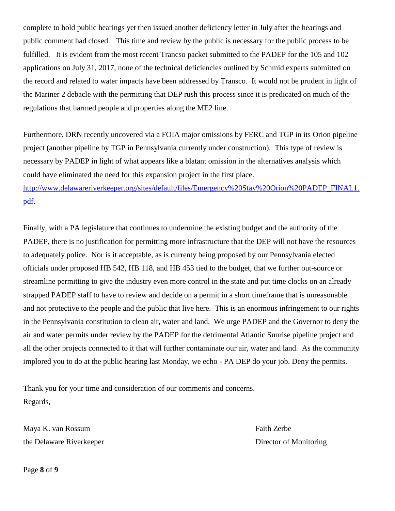complete to hold public hearings yet then issued another deficiency letter in July after the hearings and public comment had closed. This time and review by the public is necessary for the public process to be fulfilled. It is evident from the most recent Trancso packet submitted to the PADEP for the 105 and 102 applications on July 31, 2017, none of the technical deficiencies outlined by Schmid experts submitted on the record and related to water impacts have been addressed by Transco. It would not be prudent in light of the Mariner 2 debacle with the permitting that DEP rush this process since it is predicated on much of the regulations that harmed people and properties along the ME2 line.

Furthermore, DRN recently uncovered via a FOIA major omissions by FERC and TGP in its Orion pipeline project (another pipeline by TGP in Pennsylvania currently under construction). This type of review is necessary by PADEP in light of what appears like a blatant omission in the alternatives analysis which could have eliminated the need for this expansion project in the first place.

[http://www.delawareriverkeeper.org/sites/default/files/Emergency%20Stay%20Orion%20PADEP\\_FINAL1.](http://www.delawareriverkeeper.org/sites/default/files/Emergency%20Stay%20Orion%20PADEP_FINAL1.pdf) [pdf.](http://www.delawareriverkeeper.org/sites/default/files/Emergency%20Stay%20Orion%20PADEP_FINAL1.pdf)

Finally, with a PA legislature that continues to undermine the existing budget and the authority of the PADEP, there is no justification for permitting more infrastructure that the DEP will not have the resources to adequately police. Nor is it acceptable, as is currenty being proposed by our Pennsylvania elected officials under proposed HB 542, HB 118, and HB 453 tied to the budget, that we further out-source or streamline permitting to give the industry even more control in the state and put time clocks on an already strapped PADEP staff to have to review and decide on a permit in a short timeframe that is unreasonable and not protective to the people and the public that live here. This is an enormous infringement to our rights in the Pennsylvania constitution to clean air, water and land. We urge PADEP and the Governor to deny the air and water permits under review by the PADEP for the detrimental Atlantic Sunrise pipeline project and all the other projects connected to it that will further contaminate our air, water and land. As the community implored you to do at the public hearing last Monday, we echo - PA DEP do your job. Deny the permits.

Thank you for your time and consideration of our comments and concerns. Regards,

Maya K. van Rossum Faith Zerbe the Delaware Riverkeeper **Director of Monitoring** 

Page **8** of **9**